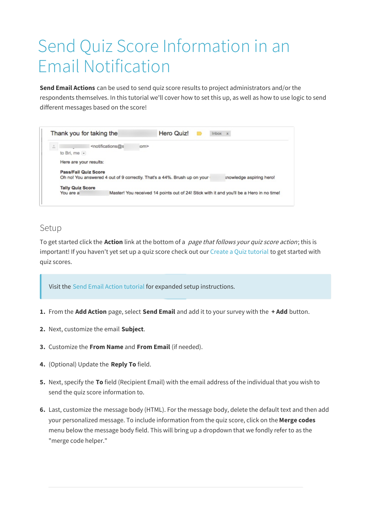# Send Quiz Score Information in an Email Notification

**Send Email Actions** can be used to send quiz score results to project administrators and/or the respondents themselves. In this tutorial we'll cover how to set this up, as well as how to use logic to send different messages based on the score!



## Setup

To get started click the **Action** link at the bottom of a page that follows your quiz score action; this is important! If you haven't yet set up a quiz score check out our Create a Quiz tutorial to get started with quiz scores.

Visit the Send Email Action tutorial for expanded setup instructions.

- **1.** From the **Add Action** page, select **Send Email** and add it to your survey with the **+ Add** button.
- **2.** Next, customize the email **Subject**.
- **3.** Customize the **From Name** and **From Email** (if needed).
- **4.** (Optional) Update the **Reply To** field.
- **5.** Next, specify the **To** field (Recipient Email) with the email address of the individual that you wish to send the quiz score information to.
- **6.** Last, customize the message body (HTML). For the message body, delete the default text and then add your personalized message. To include information from the quiz score, click on the **Merge codes** menu below the message body field. This will bring up a dropdown that we fondly refer to as the "merge code helper."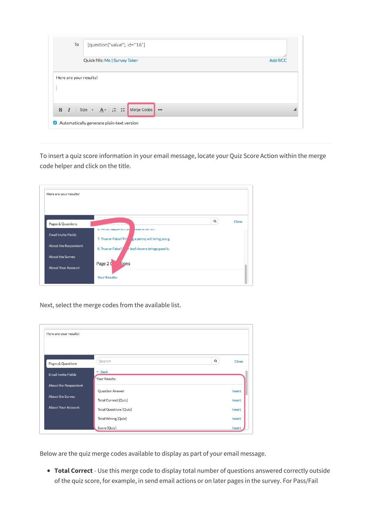| To                     | [question("value"), id="16"]                                                                                  |  |  |  |  |  |
|------------------------|---------------------------------------------------------------------------------------------------------------|--|--|--|--|--|
|                        | Quick fills: Me   Survey Taker<br><b>Add BCC</b>                                                              |  |  |  |  |  |
| Here are your results! |                                                                                                               |  |  |  |  |  |
|                        | <b>B</b> $I$   Size $\cdot$ $\underline{A} \cdot$   $\underset{e}{\equiv}$ $\underset{e}{\equiv}$ Merge Codes |  |  |  |  |  |
|                        | Automatically generate plain-text version                                                                     |  |  |  |  |  |

To insert a quiz score information in your email message, locate your Quiz Score Action within the merge code helper and click on the title.

| Here are your results!                                                  |                                                                                                                                                                                            |
|-------------------------------------------------------------------------|--------------------------------------------------------------------------------------------------------------------------------------------------------------------------------------------|
| Pages & Questions<br><b>Email Invite Fields</b><br>About the Respondent | $\alpha$<br>Close<br>o. vvitat nappens ii yu<br><b>I CAR &amp; ITITIT UT:</b><br>7. True or False? Fin<br>g a penny will bring you g<br>8. True or False?<br>r leaf clovers brings good lu |
| About the Survey<br><b>About Your Account</b>                           | Page 2 Q<br>tions<br><b>Your Results:</b>                                                                                                                                                  |

Next, select the merge codes from the available list.

| Here are your results!     |                               |          |        |
|----------------------------|-------------------------------|----------|--------|
|                            |                               |          |        |
|                            |                               |          |        |
| Pages & Questions          | Search                        | $\alpha$ | Close  |
| <b>Email Invite Fields</b> | $\leftarrow$ Back             |          |        |
|                            | Your Results:                 |          |        |
| About the Respondent       | Question Answer               |          | Insert |
| About the Survey           | Total Correct [Quiz]          |          | Insert |
| <b>About Your Account</b>  | <b>Total Questions [Quiz]</b> |          | Insert |
|                            | Total Wrong [Quiz]            |          | Insert |
|                            | Score [Quiz]                  |          | Insert |

Below are the quiz merge codes available to display as part of your email message.

**Total Correct** - Use this merge code to display total number of questions answered correctly outside of the quiz score, for example, in send email actions or on later pages in the survey. For Pass/Fail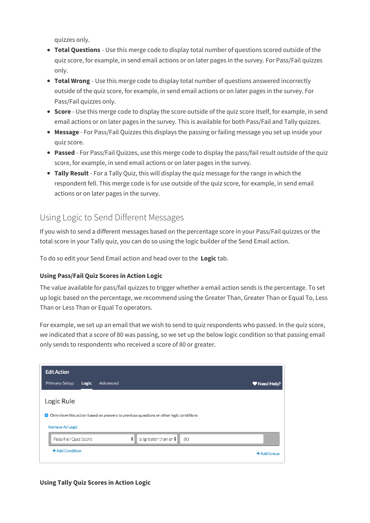quizzes only.

- **Total Questions** Use this merge code to display total number of questions scored outside of the quiz score, for example, in send email actions or on later pages in the survey. For Pass/Fail quizzes only.
- **Total Wrong** Use this merge code to display total number of questions answered incorrectly outside of the quiz score, for example, in send email actions or on later pages in the survey. For Pass/Fail quizzes only.
- **Score** Use this merge code to display the score outside of the quiz score itself, for example, in send email actions or on later pages in the survey. This is available for both Pass/Fail and Tally quizzes.
- **Message** For Pass/Fail Quizzes this displays the passing or failing message you set up inside your quiz score.
- **Passed** For Pass/Fail Quizzes, use this merge code to display the pass/fail result outside of the quiz score, for example, in send email actions or on later pages in the survey.
- **Tally Result** For a Tally Quiz, this will display the quiz message for the range in which the respondent fell. This merge code is for use outside of the quiz score, for example, in send email actions or on later pages in the survey.

## Using Logic to Send Different Messages

If you wish to send a different messages based on the percentage score in your Pass/Fail quizzes or the total score in your Tally quiz, you can do so using the logic builder of the Send Email action.

To do so edit your Send Email action and head over to the **Logic** tab.

### **Using Pass/Fail Quiz Scores in Action Logic**

The value available for pass/fail quizzes to trigger whether a email action sends is the percentage. To set up logic based on the percentage, we recommend using the Greater Than, Greater Than or Equal To, Less Than or Less Than or Equal To operators.

For example, we set up an email that we wish to send to quiz respondents who passed. In the quiz score, we indicated that a score of 80 was passing, so we set up the below logic condition so that passing email only sends to respondents who received a score of 80 or greater.



### **Using Tally Quiz Scores in Action Logic**